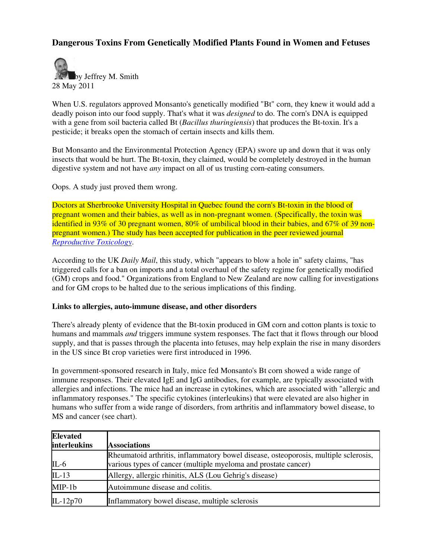# **Dangerous Toxins From Genetically Modified Plants Found in Women and Fetuses**



When U.S. regulators approved Monsanto's genetically modified "Bt" corn, they knew it would add a deadly poison into our food supply. That's what it was *designed* to do. The corn's DNA is equipped with a gene from soil bacteria called Bt (*Bacillus thuringiensis*) that produces the Bt-toxin. It's a pesticide; it breaks open the stomach of certain insects and kills them.

But Monsanto and the Environmental Protection Agency (EPA) swore up and down that it was only insects that would be hurt. The Bt-toxin, they claimed, would be completely destroyed in the human digestive system and not have *any* impact on all of us trusting corn-eating consumers.

Oops. A study just proved them wrong.

Doctors at Sherbrooke University Hospital in Quebec found the corn's Bt-toxin in the blood of pregnant women and their babies, as well as in non-pregnant women. (Specifically, the toxin was identified in 93% of 30 pregnant women, 80% of umbilical blood in their babies, and 67% of 39 nonpregnant women.) The study has been accepted for publication in the peer reviewed journal *Reproductive Toxicology*.

According to the UK *Daily Mail*, this study, which "appears to blow a hole in" safety claims, "has triggered calls for a ban on imports and a total overhaul of the safety regime for genetically modified (GM) crops and food." Organizations from England to New Zealand are now calling for investigations and for GM crops to be halted due to the serious implications of this finding.

#### **Links to allergies, auto-immune disease, and other disorders**

There's already plenty of evidence that the Bt-toxin produced in GM corn and cotton plants is toxic to humans and mammals *and* triggers immune system responses. The fact that it flows through our blood supply, and that is passes through the placenta into fetuses, may help explain the rise in many disorders in the US since Bt crop varieties were first introduced in 1996.

In government-sponsored research in Italy, mice fed Monsanto's Bt corn showed a wide range of immune responses. Their elevated IgE and IgG antibodies, for example, are typically associated with allergies and infections. The mice had an increase in cytokines, which are associated with "allergic and inflammatory responses." The specific cytokines (interleukins) that were elevated are also higher in humans who suffer from a wide range of disorders, from arthritis and inflammatory bowel disease, to MS and cancer (see chart).

| <b>Elevated</b>     |                                                                                     |
|---------------------|-------------------------------------------------------------------------------------|
| <b>interleukins</b> | <b>Associations</b>                                                                 |
|                     | Rheumatoid arthritis, inflammatory bowel disease, osteoporosis, multiple sclerosis, |
| $IL-6$              | various types of cancer (multiple myeloma and prostate cancer)                      |
| $IL-13$             | Allergy, allergic rhinitis, ALS (Lou Gehrig's disease)                              |
| $MIP-1b$            | Autoimmune disease and colitis.                                                     |
| IL-12 $p70$         | Inflammatory bowel disease, multiple sclerosis                                      |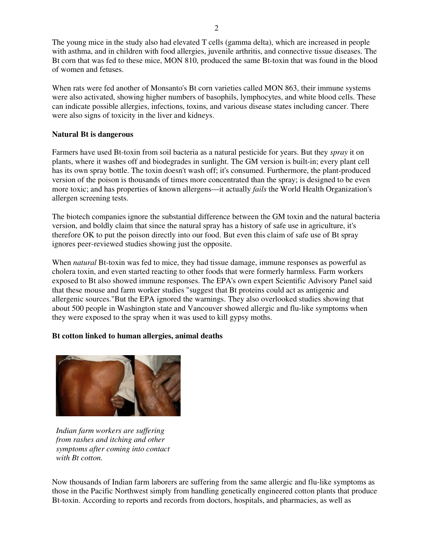The young mice in the study also had elevated T cells (gamma delta), which are increased in people with asthma, and in children with food allergies, juvenile arthritis, and connective tissue diseases. The Bt corn that was fed to these mice, MON 810, produced the same Bt-toxin that was found in the blood of women and fetuses.

When rats were fed another of Monsanto's Bt corn varieties called MON 863, their immune systems were also activated, showing higher numbers of basophils, lymphocytes, and white blood cells. These can indicate possible allergies, infections, toxins, and various disease states including cancer. There were also signs of toxicity in the liver and kidneys.

## **Natural Bt is dangerous**

Farmers have used Bt-toxin from soil bacteria as a natural pesticide for years. But they *spray* it on plants, where it washes off and biodegrades in sunlight. The GM version is built-in; every plant cell has its own spray bottle. The toxin doesn't wash off; it's consumed. Furthermore, the plant-produced version of the poison is thousands of times more concentrated than the spray; is designed to be even more toxic; and has properties of known allergens—it actually *fails* the World Health Organization's allergen screening tests.

The biotech companies ignore the substantial difference between the GM toxin and the natural bacteria version, and boldly claim that since the natural spray has a history of safe use in agriculture, it's therefore OK to put the poison directly into our food. But even this claim of safe use of Bt spray ignores peer-reviewed studies showing just the opposite.

When *natural* Bt-toxin was fed to mice, they had tissue damage, immune responses as powerful as cholera toxin, and even started reacting to other foods that were formerly harmless. Farm workers exposed to Bt also showed immune responses. The EPA's own expert Scientific Advisory Panel said that these mouse and farm worker studies "suggest that Bt proteins could act as antigenic and allergenic sources."But the EPA ignored the warnings. They also overlooked studies showing that about 500 people in Washington state and Vancouver showed allergic and flu-like symptoms when they were exposed to the spray when it was used to kill gypsy moths.

## **Bt cotton linked to human allergies, animal deaths**



*Indian farm workers are suffering from rashes and itching and other symptoms after coming into contact with Bt cotton.*

Now thousands of Indian farm laborers are suffering from the same allergic and flu-like symptoms as those in the Pacific Northwest simply from handling genetically engineered cotton plants that produce Bt-toxin. According to reports and records from doctors, hospitals, and pharmacies, as well as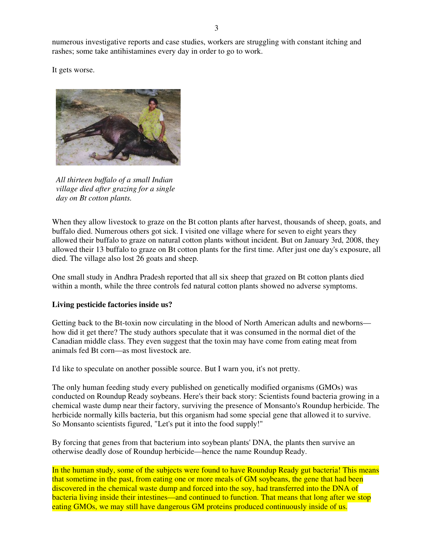numerous investigative reports and case studies, workers are struggling with constant itching and rashes; some take antihistamines every day in order to go to work.

It gets worse.



*All thirteen buffalo of a small Indian village died after grazing for a single day on Bt cotton plants.*

When they allow livestock to graze on the Bt cotton plants after harvest, thousands of sheep, goats, and buffalo died. Numerous others got sick. I visited one village where for seven to eight years they allowed their buffalo to graze on natural cotton plants without incident. But on January 3rd, 2008, they allowed their 13 buffalo to graze on Bt cotton plants for the first time. After just one day's exposure, all died. The village also lost 26 goats and sheep.

One small study in Andhra Pradesh reported that all six sheep that grazed on Bt cotton plants died within a month, while the three controls fed natural cotton plants showed no adverse symptoms.

#### **Living pesticide factories inside us?**

Getting back to the Bt-toxin now circulating in the blood of North American adults and newborns how did it get there? The study authors speculate that it was consumed in the normal diet of the Canadian middle class. They even suggest that the toxin may have come from eating meat from animals fed Bt corn—as most livestock are.

I'd like to speculate on another possible source. But I warn you, it's not pretty.

The only human feeding study every published on genetically modified organisms (GMOs) was conducted on Roundup Ready soybeans. Here's their back story: Scientists found bacteria growing in a chemical waste dump near their factory, surviving the presence of Monsanto's Roundup herbicide. The herbicide normally kills bacteria, but this organism had some special gene that allowed it to survive. So Monsanto scientists figured, "Let's put it into the food supply!"

By forcing that genes from that bacterium into soybean plants' DNA, the plants then survive an otherwise deadly dose of Roundup herbicide—hence the name Roundup Ready.

In the human study, some of the subjects were found to have Roundup Ready gut bacteria! This means that sometime in the past, from eating one or more meals of GM soybeans, the gene that had been discovered in the chemical waste dump and forced into the soy, had transferred into the DNA of bacteria living inside their intestines—and continued to function. That means that long after we stop eating GMOs, we may still have dangerous GM proteins produced continuously inside of us.